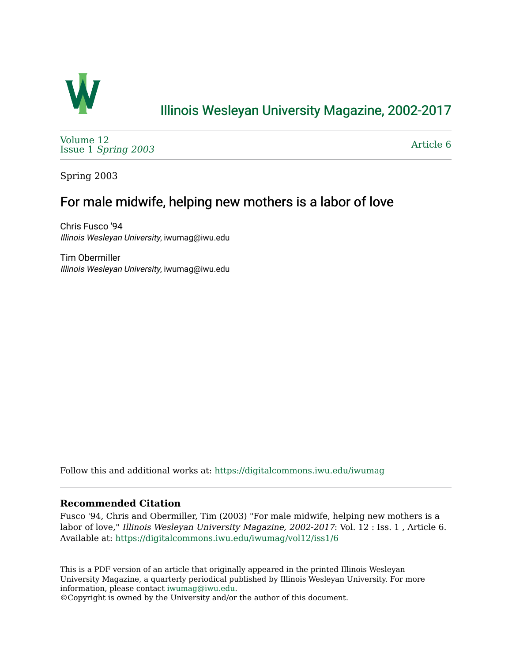

## [Illinois Wesleyan University Magazine, 2002-2017](https://digitalcommons.iwu.edu/iwumag)

[Volume 12](https://digitalcommons.iwu.edu/iwumag/vol12)  Issue 1 [Spring 2003](https://digitalcommons.iwu.edu/iwumag/vol12/iss1)

[Article 6](https://digitalcommons.iwu.edu/iwumag/vol12/iss1/6) 

Spring 2003

## For male midwife, helping new mothers is a labor of love

Chris Fusco '94 Illinois Wesleyan University, iwumag@iwu.edu

Tim Obermiller Illinois Wesleyan University, iwumag@iwu.edu

Follow this and additional works at: [https://digitalcommons.iwu.edu/iwumag](https://digitalcommons.iwu.edu/iwumag?utm_source=digitalcommons.iwu.edu%2Fiwumag%2Fvol12%2Fiss1%2F6&utm_medium=PDF&utm_campaign=PDFCoverPages) 

## **Recommended Citation**

Fusco '94, Chris and Obermiller, Tim (2003) "For male midwife, helping new mothers is a labor of love," Illinois Wesleyan University Magazine, 2002-2017: Vol. 12 : Iss. 1, Article 6. Available at: [https://digitalcommons.iwu.edu/iwumag/vol12/iss1/6](https://digitalcommons.iwu.edu/iwumag/vol12/iss1/6?utm_source=digitalcommons.iwu.edu%2Fiwumag%2Fvol12%2Fiss1%2F6&utm_medium=PDF&utm_campaign=PDFCoverPages)

This is a PDF version of an article that originally appeared in the printed Illinois Wesleyan University Magazine, a quarterly periodical published by Illinois Wesleyan University. For more information, please contact [iwumag@iwu.edu](mailto:iwumag@iwu.edu).

©Copyright is owned by the University and/or the author of this document.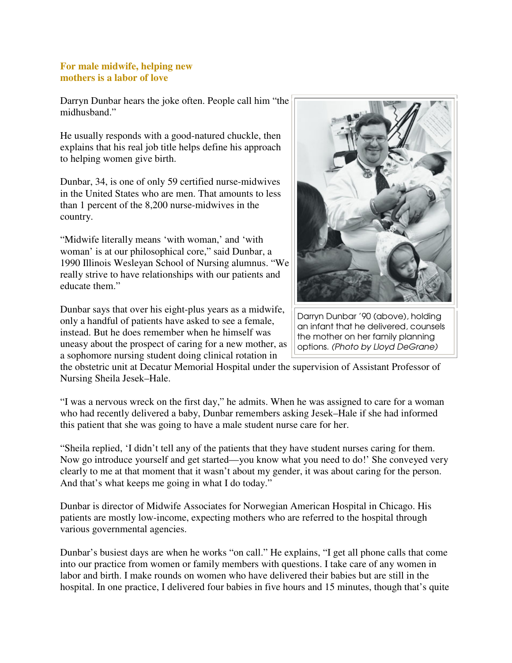## **For male midwife, helping new mothers is a labor of love**

Darryn Dunbar hears the joke often. People call him "the midhusband."

He usually responds with a good-natured chuckle, then explains that his real job title helps define his approach to helping women give birth.

Dunbar, 34, is one of only 59 certified nurse-midwives in the United States who are men. That amounts to less than 1 percent of the 8,200 nurse-midwives in the country.

"Midwife literally means 'with woman,' and 'with woman' is at our philosophical core," said Dunbar, a 1990 Illinois Wesleyan School of Nursing alumnus. "We really strive to have relationships with our patients and educate them."

Dunbar says that over his eight-plus years as a midwife, only a handful of patients have asked to see a female, instead. But he does remember when he himself was uneasy about the prospect of caring for a new mother, as a sophomore nursing student doing clinical rotation in



Darryn Dunbar '90 (above), holding an infant that he delivered, counsels the mother on her family planning options. (Photo by Lloyd DeGrane)

the obstetric unit at Decatur Memorial Hospital under the supervision of Assistant Professor of Nursing Sheila Jesek–Hale.

"I was a nervous wreck on the first day," he admits. When he was assigned to care for a woman who had recently delivered a baby, Dunbar remembers asking Jesek–Hale if she had informed this patient that she was going to have a male student nurse care for her.

"Sheila replied, 'I didn't tell any of the patients that they have student nurses caring for them. Now go introduce yourself and get started—you know what you need to do!' She conveyed very clearly to me at that moment that it wasn't about my gender, it was about caring for the person. And that's what keeps me going in what I do today."

Dunbar is director of Midwife Associates for Norwegian American Hospital in Chicago. His patients are mostly low-income, expecting mothers who are referred to the hospital through various governmental agencies.

Dunbar's busiest days are when he works "on call." He explains, "I get all phone calls that come into our practice from women or family members with questions. I take care of any women in labor and birth. I make rounds on women who have delivered their babies but are still in the hospital. In one practice, I delivered four babies in five hours and 15 minutes, though that's quite